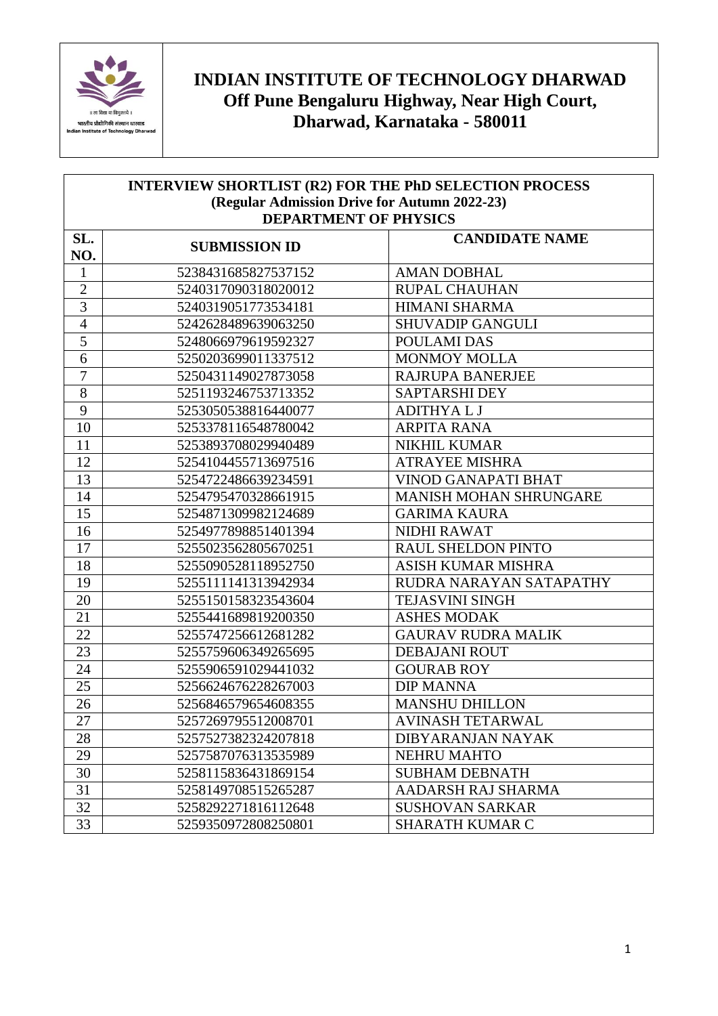

## **INDIAN INSTITUTE OF TECHNOLOGY DHARWAD Off Pune Bengaluru Highway, Near High Court, Dharwad, Karnataka - 580011**

| <b>INTERVIEW SHORTLIST (R2) FOR THE PhD SELECTION PROCESS</b> |                      |                            |  |
|---------------------------------------------------------------|----------------------|----------------------------|--|
| (Regular Admission Drive for Autumn 2022-23)                  |                      |                            |  |
| <b>DEPARTMENT OF PHYSICS</b>                                  |                      |                            |  |
| SL.<br>NO.                                                    | <b>SUBMISSION ID</b> | <b>CANDIDATE NAME</b>      |  |
| $\mathbf{1}$                                                  | 5238431685827537152  | <b>AMAN DOBHAL</b>         |  |
| $\overline{2}$                                                | 5240317090318020012  | <b>RUPAL CHAUHAN</b>       |  |
| $\overline{3}$                                                | 5240319051773534181  | <b>HIMANI SHARMA</b>       |  |
| $\overline{4}$                                                | 5242628489639063250  | <b>SHUVADIP GANGULI</b>    |  |
| 5                                                             | 5248066979619592327  | POULAMI DAS                |  |
| 6                                                             | 5250203699011337512  | <b>MONMOY MOLLA</b>        |  |
| $\overline{7}$                                                | 5250431149027873058  | <b>RAJRUPA BANERJEE</b>    |  |
| 8                                                             | 5251193246753713352  | <b>SAPTARSHI DEY</b>       |  |
| $\mathbf{9}$                                                  | 5253050538816440077  | <b>ADITHYALJ</b>           |  |
| 10                                                            | 5253378116548780042  | <b>ARPITA RANA</b>         |  |
| 11                                                            | 5253893708029940489  | <b>NIKHIL KUMAR</b>        |  |
| 12                                                            | 5254104455713697516  | <b>ATRAYEE MISHRA</b>      |  |
| 13                                                            | 5254722486639234591  | <b>VINOD GANAPATI BHAT</b> |  |
| 14                                                            | 5254795470328661915  | MANISH MOHAN SHRUNGARE     |  |
| 15                                                            | 5254871309982124689  | <b>GARIMA KAURA</b>        |  |
| 16                                                            | 5254977898851401394  | <b>NIDHI RAWAT</b>         |  |
| 17                                                            | 5255023562805670251  | <b>RAUL SHELDON PINTO</b>  |  |
| 18                                                            | 5255090528118952750  | <b>ASISH KUMAR MISHRA</b>  |  |
| 19                                                            | 5255111141313942934  | RUDRA NARAYAN SATAPATHY    |  |
| 20                                                            | 5255150158323543604  | <b>TEJASVINI SINGH</b>     |  |
| 21                                                            | 5255441689819200350  | <b>ASHES MODAK</b>         |  |
| 22                                                            | 5255747256612681282  | <b>GAURAV RUDRA MALIK</b>  |  |
| 23                                                            | 5255759606349265695  | <b>DEBAJANI ROUT</b>       |  |
| 24                                                            | 5255906591029441032  | <b>GOURAB ROY</b>          |  |
| 25                                                            | 5256624676228267003  | <b>DIP MANNA</b>           |  |
| 26                                                            | 5256846579654608355  | <b>MANSHU DHILLON</b>      |  |
| 27                                                            | 5257269795512008701  | <b>AVINASH TETARWAL</b>    |  |
| 28                                                            | 5257527382324207818  | <b>DIBYARANJAN NAYAK</b>   |  |
| 29                                                            | 5257587076313535989  | <b>NEHRU MAHTO</b>         |  |
| 30                                                            | 5258115836431869154  | <b>SUBHAM DEBNATH</b>      |  |
| 31                                                            | 5258149708515265287  | AADARSH RAJ SHARMA         |  |
| 32                                                            | 5258292271816112648  | <b>SUSHOVAN SARKAR</b>     |  |
| 33                                                            | 5259350972808250801  | SHARATH KUMAR C            |  |